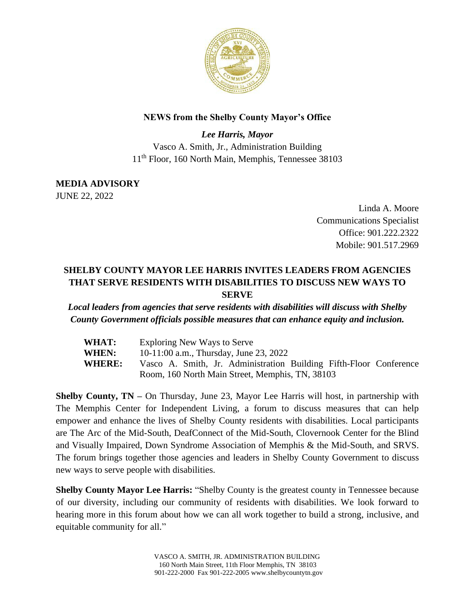

## **NEWS from the Shelby County Mayor's Office**

*Lee Harris, Mayor* Vasco A. Smith, Jr., Administration Building 11th Floor, 160 North Main, Memphis, Tennessee 38103

**MEDIA ADVISORY** JUNE 22, 2022

> Linda A. Moore Communications Specialist Office: 901.222.2322 Mobile: 901.517.2969

## **SHELBY COUNTY MAYOR LEE HARRIS INVITES LEADERS FROM AGENCIES THAT SERVE RESIDENTS WITH DISABILITIES TO DISCUSS NEW WAYS TO SERVE**

*Local leaders from agencies that serve residents with disabilities will discuss with Shelby County Government officials possible measures that can enhance equity and inclusion.*

| WHAT:         | Exploring New Ways to Serve                                        |
|---------------|--------------------------------------------------------------------|
| WHEN:         | 10-11:00 a.m., Thursday, June 23, 2022                             |
| <b>WHERE:</b> | Vasco A. Smith, Jr. Administration Building Fifth-Floor Conference |
|               | Room, 160 North Main Street, Memphis, TN, 38103                    |

**Shelby County, TN –** On Thursday, June 23, Mayor Lee Harris will host, in partnership with The Memphis Center for Independent Living, a forum to discuss measures that can help empower and enhance the lives of Shelby County residents with disabilities. Local participants are The Arc of the Mid-South, DeafConnect of the Mid-South, Clovernook Center for the Blind and Visually Impaired, Down Syndrome Association of Memphis & the Mid-South, and SRVS. The forum brings together those agencies and leaders in Shelby County Government to discuss new ways to serve people with disabilities.

**Shelby County Mayor Lee Harris:** "Shelby County is the greatest county in Tennessee because of our diversity, including our community of residents with disabilities. We look forward to hearing more in this forum about how we can all work together to build a strong, inclusive, and equitable community for all."